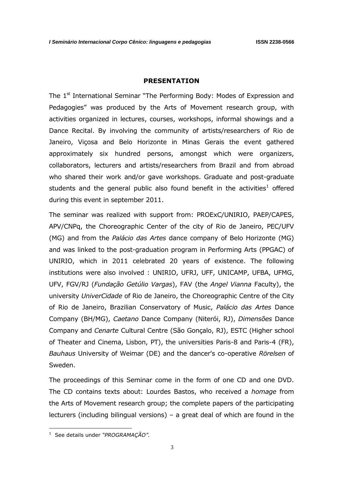## **PRESENTATION**

The 1<sup>st</sup> International Seminar "The Performing Body: Modes of Expression and Pedagogies" was produced by the Arts of Movement research group, with activities organized in lectures, courses, workshops, informal showings and a Dance Recital. By involving the community of artists/researchers of Rio de Janeiro, Viçosa and Belo Horizonte in Minas Gerais the event gathered approximately six hundred persons, amongst which were organizers, collaborators, lecturers and artists/researchers from Brazil and from abroad who shared their work and/or gave workshops. Graduate and post-graduate students and the general public also found benefit in the activities<sup>1</sup> offered during this event in september 2011.

The seminar was realized with support from: PROExC/UNIRIO, PAEP/CAPES, APV/CNPq, the Choreographic Center of the city of Rio de Janeiro, PEC/UFV (MG) and from the *Palácio das Artes* dance company of Belo Horizonte (MG) and was linked to the post-graduation program in Performing Arts (PPGAC) of UNIRIO, which in 2011 celebrated 20 years of existence. The following institutions were also involved : UNIRIO, UFRJ, UFF, UNICAMP, UFBA, UFMG, UFV, FGV/RJ (*Fundação Getúlio Vargas*), FAV (the *Angel Vianna* Faculty), the university *UniverCidade* of Rio de Janeiro, the Choreographic Centre of the City of Rio de Janeiro, Brazilian Conservatory of Music, *Palácio das Artes* Dance Company (BH/MG), *Caetano* Dance Company (Niterói, RJ), *Dimensões* Dance Company and *Cenarte* Cultural Centre (São Gonçalo, RJ), ESTC (Higher school of Theater and Cinema, Lisbon, PT), the universities Paris-8 and Paris-4 (FR), *Bauhaus* University of Weimar (DE) and the dancer's co-operative *Rörelsen* of Sweden.

The proceedings of this Seminar come in the form of one CD and one DVD. The CD contains texts about: Lourdes Bastos, who received a *homage* from the Arts of Movement research group; the complete papers of the participating lecturers (including bilingual versions) – a great deal of which are found in the

<u>.</u>

<sup>1</sup> See details under *"PROGRAMAÇÃO".*